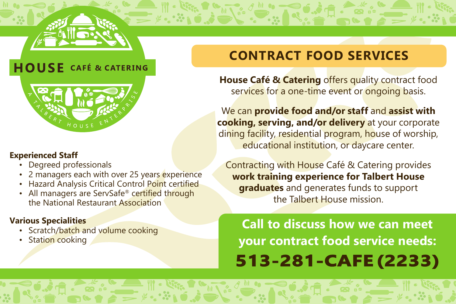

## **HOUSE** CAFÉ & CATERING



#### **Experienced Staff**

- Degreed professionals
- 2 managers each with over 25 years experience
- Hazard Analysis Critical Control Point certified
- All managers are ServSafe® certified through the National Restaurant Association

### **Various Specialities**

- Scratch/batch and volume cooking
- Station cooking

# **CONTRACT FOOD SERVICES**

**House Café & Catering offers quality contract food** services for a one-time event or ongoing basis.

We can **provide food and/or staff** and **assist with cooking, serving, and/or delivery** at your corporate dining facility, residential program, house of worship, educational institution, or daycare center.

Contracting with House Café & Catering provides **work training experience for Talbert House graduates** and generates funds to support the Talbert House mission.

**Call to discuss how we can meet your contract food service needs: [513-281-CAFE \(2233\)](tel:5132812233)**